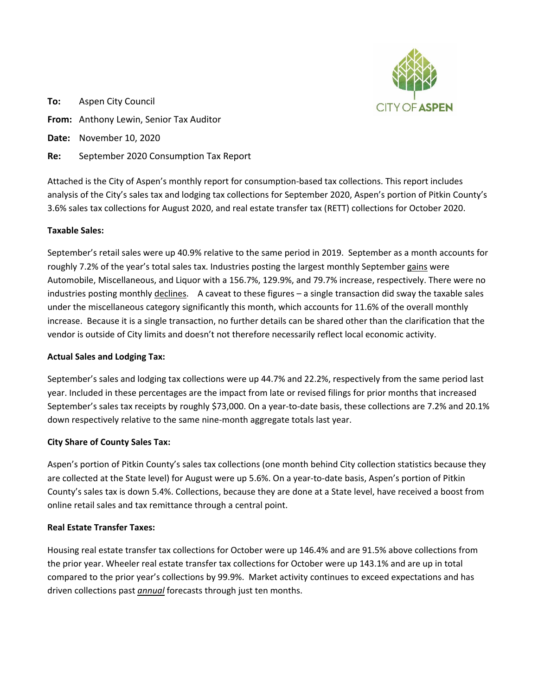

**To:** Aspen City Council **From:** Anthony Lewin, Senior Tax Auditor **Date:** November 10, 2020 **Re:** September 2020 Consumption Tax Report

Attached is the City of Aspen's monthly report for consumption‐based tax collections. This report includes analysis of the City's sales tax and lodging tax collections for September 2020, Aspen's portion of Pitkin County's 3.6% sales tax collections for August 2020, and real estate transfer tax (RETT) collections for October 2020.

# **Taxable Sales:**

September's retail sales were up 40.9% relative to the same period in 2019. September as a month accounts for roughly 7.2% of the year's total sales tax. Industries posting the largest monthly September gains were Automobile, Miscellaneous, and Liquor with a 156.7%, 129.9%, and 79.7% increase, respectively. There were no industries posting monthly declines. A caveat to these figures – a single transaction did sway the taxable sales under the miscellaneous category significantly this month, which accounts for 11.6% of the overall monthly increase. Because it is a single transaction, no further details can be shared other than the clarification that the vendor is outside of City limits and doesn't not therefore necessarily reflect local economic activity.

## **Actual Sales and Lodging Tax:**

September's sales and lodging tax collections were up 44.7% and 22.2%, respectively from the same period last year. Included in these percentages are the impact from late or revised filings for prior months that increased September's sales tax receipts by roughly \$73,000. On a year-to-date basis, these collections are 7.2% and 20.1% down respectively relative to the same nine‐month aggregate totals last year.

## **City Share of County Sales Tax:**

Aspen's portion of Pitkin County's sales tax collections (one month behind City collection statistics because they are collected at the State level) for August were up 5.6%. On a year-to-date basis, Aspen's portion of Pitkin County's sales tax is down 5.4%. Collections, because they are done at a State level, have received a boost from online retail sales and tax remittance through a central point.

## **Real Estate Transfer Taxes:**

Housing real estate transfer tax collections for October were up 146.4% and are 91.5% above collections from the prior year. Wheeler real estate transfer tax collections for October were up 143.1% and are up in total compared to the prior year's collections by 99.9%. Market activity continues to exceed expectations and has driven collections past *annual* forecasts through just ten months.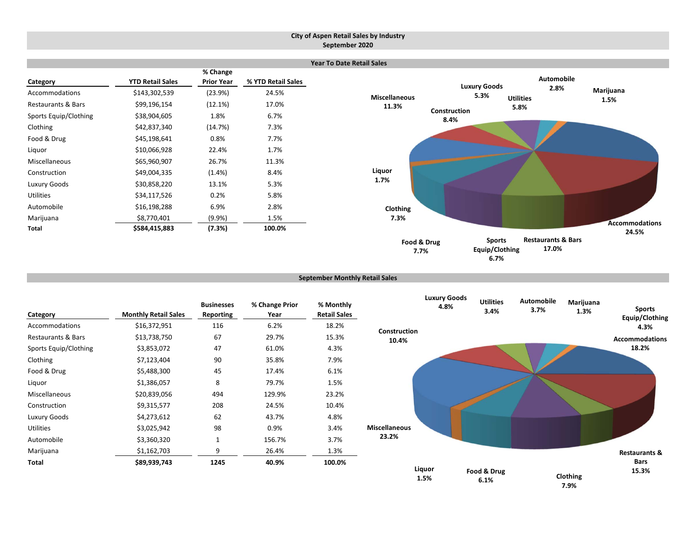### **City of Aspen Retail Sales by Industry September 2020**

|                       |                         |                               |                    | <b>Year To Date Retail Sales</b> |                                 |                  |                                        |                       |
|-----------------------|-------------------------|-------------------------------|--------------------|----------------------------------|---------------------------------|------------------|----------------------------------------|-----------------------|
| Category              | <b>YTD Retail Sales</b> | % Change<br><b>Prior Year</b> | % YTD Retail Sales |                                  | <b>Luxury Goods</b>             |                  | Automobile                             |                       |
| Accommodations        | \$143,302,539           | (23.9%)                       | 24.5%              | <b>Miscellaneous</b>             | 5.3%                            | <b>Utilities</b> | 2.8%                                   | Marijuana             |
| Restaurants & Bars    | \$99,196,154            | (12.1%)                       | 17.0%              | 11.3%                            |                                 | 5.8%             |                                        | 1.5%                  |
| Sports Equip/Clothing | \$38,904,605            | 1.8%                          | 6.7%               |                                  | Construction<br>8.4%            |                  |                                        |                       |
| Clothing              | \$42,837,340            | (14.7%)                       | 7.3%               |                                  |                                 |                  |                                        |                       |
| Food & Drug           | \$45,198,641            | 0.8%                          | 7.7%               |                                  |                                 |                  |                                        |                       |
| Liquor                | \$10,066,928            | 22.4%                         | 1.7%               |                                  |                                 |                  |                                        |                       |
| Miscellaneous         | \$65,960,907            | 26.7%                         | 11.3%              |                                  |                                 |                  |                                        |                       |
| Construction          | \$49,004,335            | (1.4% )                       | 8.4%               | Liquor                           |                                 |                  |                                        |                       |
| Luxury Goods          | \$30,858,220            | 13.1%                         | 5.3%               | 1.7%                             |                                 |                  |                                        |                       |
| Utilities             | \$34,117,526            | 0.2%                          | 5.8%               |                                  |                                 |                  |                                        |                       |
| Automobile            | \$16,198,288            | 6.9%                          | 2.8%               | Clothing                         |                                 |                  |                                        |                       |
| Marijuana             | \$8,770,401             | $(9.9\%)$                     | 1.5%               | 7.3%                             |                                 |                  |                                        | <b>Accommodations</b> |
| Total                 | \$584,415,883           | (7.3%)                        | 100.0%             |                                  |                                 |                  |                                        | 24.5%                 |
|                       |                         |                               |                    | Food & Drug<br>7.7%              | <b>Sports</b><br>Equip/Clothing |                  | <b>Restaurants &amp; Bars</b><br>17.0% |                       |

**6.7%**

**7.7%**

**September Monthly Retail Sales**

| Category              | <b>Monthly Retail Sales</b> | <b>Businesses</b><br>Reporting | % Change Prior<br>Year | % Monthly<br><b>Retail Sales</b> |
|-----------------------|-----------------------------|--------------------------------|------------------------|----------------------------------|
| Accommodations        | \$16,372,951                | 116                            | 6.2%                   | 18.2%                            |
| Restaurants & Bars    | \$13,738,750                | 67                             | 29.7%                  | 15.3%                            |
| Sports Equip/Clothing | \$3,853,072                 | 47                             | 61.0%                  | 4.3%                             |
| Clothing              | \$7,123,404                 | 90                             | 35.8%                  | 7.9%                             |
| Food & Drug           | \$5,488,300                 | 45                             | 17.4%                  | 6.1%                             |
| Liguor                | \$1,386,057                 | 8                              | 79.7%                  | 1.5%                             |
| Miscellaneous         | \$20,839,056                | 494                            | 129.9%                 | 23.2%                            |
| Construction          | \$9,315,577                 | 208                            | 24.5%                  | 10.4%                            |
| Luxury Goods          | \$4,273,612                 | 62                             | 43.7%                  | 4.8%                             |
| <b>Utilities</b>      | \$3,025,942                 | 98                             | 0.9%                   | 3.4%                             |
| Automobile            | \$3,360,320                 | 1                              | 156.7%                 | 3.7%                             |
| Marijuana             | \$1,162,703                 | 9                              | 26.4%                  | 1.3%                             |
| Total                 | \$89,939,743                | 1245                           | 40.9%                  | 100.0%                           |

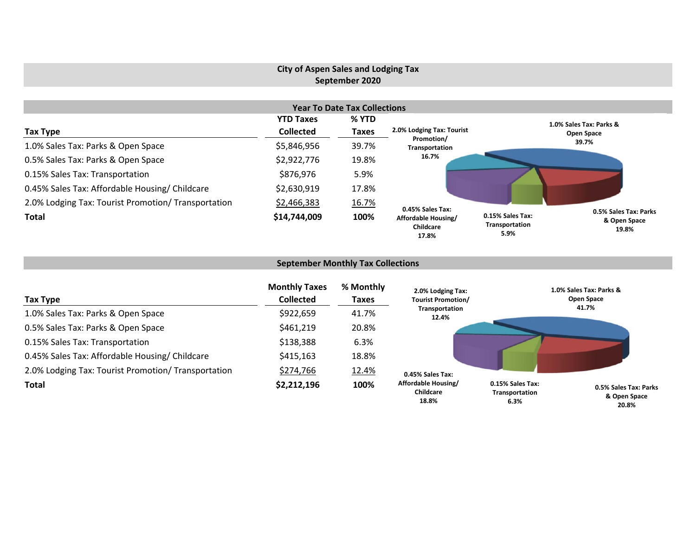# **City of Aspen Sales and Lodging Tax September 2020**

|                                                     |                  | <b>Year To Date Tax Collections</b> |                                           |                                                                                              |
|-----------------------------------------------------|------------------|-------------------------------------|-------------------------------------------|----------------------------------------------------------------------------------------------|
|                                                     | <b>YTD Taxes</b> | % YTD                               |                                           | 1.0% Sales Tax: Parks &                                                                      |
| Tax Type                                            | <b>Collected</b> | <b>Taxes</b>                        | 2.0% Lodging Tax: Tourist                 | Open Space                                                                                   |
| 1.0% Sales Tax: Parks & Open Space                  | \$5,846,956      | 39.7%                               | Promotion/<br>Transportation              | 39.7%                                                                                        |
| 0.5% Sales Tax: Parks & Open Space                  | \$2,922,776      | 19.8%                               | 16.7%                                     |                                                                                              |
| 0.15% Sales Tax: Transportation                     | \$876,976        | 5.9%                                |                                           |                                                                                              |
| 0.45% Sales Tax: Affordable Housing/ Childcare      | \$2,630,919      | 17.8%                               |                                           |                                                                                              |
| 2.0% Lodging Tax: Tourist Promotion/ Transportation | \$2,466,383      | 16.7%                               | 0.45% Sales Tax:                          |                                                                                              |
| <b>Total</b>                                        | \$14,744,009     | 100%                                | Affordable Housing/<br>Childcare<br>17.8% | 0.5% Sales Tax: Parks<br>0.15% Sales Tax:<br>& Open Space<br>Transportation<br>19.8%<br>5.9% |

# **September Monthly Tax Collections**

| Tax Type                                            | <b>Monthly Taxes</b><br><b>Collected</b> | % Monthly<br>Taxes | 2.0% Lodging Tax:<br><b>Tourist Promotion/</b> |                                            | 1.0% Sales Tax: Parks &<br>Open Space         |
|-----------------------------------------------------|------------------------------------------|--------------------|------------------------------------------------|--------------------------------------------|-----------------------------------------------|
| 1.0% Sales Tax: Parks & Open Space                  | \$922,659                                | 41.7%              | Transportation<br>12.4%                        |                                            | 41.7%                                         |
| 0.5% Sales Tax: Parks & Open Space                  | \$461,219                                | 20.8%              |                                                |                                            |                                               |
| 0.15% Sales Tax: Transportation                     | \$138,388                                | 6.3%               |                                                |                                            |                                               |
| 0.45% Sales Tax: Affordable Housing/ Childcare      | \$415,163                                | 18.8%              |                                                |                                            |                                               |
| 2.0% Lodging Tax: Tourist Promotion/ Transportation | \$274,766                                | 12.4%              | 0.45% Sales Tax:                               |                                            |                                               |
| <b>Total</b>                                        | \$2,212,196                              | 100%               | Affordable Housing/<br>Childcare<br>18.8%      | 0.15% Sales Tax:<br>Transportation<br>6.3% | 0.5% Sales Tax: Parks<br>& Open Space<br>2000 |

**20.8%**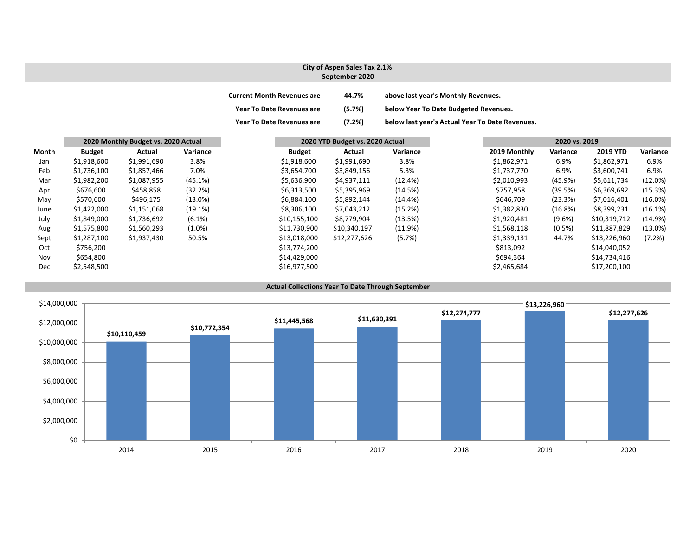### **City of Aspen Sales Tax 2.1% September 2020**

| <b>Current Month Revenues are</b> | 44.7%  | above last year's Monthly Revenues.             |
|-----------------------------------|--------|-------------------------------------------------|
| <b>Year To Date Revenues are</b>  | (5.7%) | below Year To Date Budgeted Revenues.           |
| <b>Year To Date Revenues are</b>  | (7.2%) | below last year's Actual Year To Date Revenues. |

|       |               | 2020 Monthly Budget vs. 2020 Actual |            |               | 2020 YTD Budget vs. 2020 Actual |            |              | 2020 vs. 2019 |              |            |
|-------|---------------|-------------------------------------|------------|---------------|---------------------------------|------------|--------------|---------------|--------------|------------|
| Month | <b>Budget</b> | Actual                              | Variance   | <b>Budget</b> | Actual                          | Variance   | 2019 Monthly | Variance      | 2019 YTD     | Variance   |
| Jan   | \$1,918,600   | \$1,991,690                         | 3.8%       | \$1,918,600   | \$1,991,690                     | 3.8%       | \$1,862,971  | 6.9%          | \$1,862,971  | 6.9%       |
| Feb   | \$1,736,100   | \$1,857,466                         | 7.0%       | \$3,654,700   | \$3,849,156                     | 5.3%       | \$1,737,770  | 6.9%          | \$3,600,741  | 6.9%       |
| Mar   | \$1,982,200   | \$1,087,955                         | (45.1%)    | \$5,636,900   | \$4,937,111                     | (12.4%)    | \$2,010,993  | (45.9%)       | \$5,611,734  | $(12.0\%)$ |
| Apr   | \$676,600     | \$458,858                           | (32.2%)    | \$6,313,500   | \$5,395,969                     | (14.5%)    | \$757,958    | (39.5%)       | \$6,369,692  | (15.3%)    |
| May   | \$570,600     | \$496,175                           | $(13.0\%)$ | \$6,884,100   | \$5,892,144                     | $(14.4\%)$ | \$646,709    | (23.3%)       | \$7,016,401  | $(16.0\%)$ |
| June  | \$1,422,000   | \$1,151,068                         | (19.1%)    | \$8,306,100   | \$7,043,212                     | (15.2%)    | \$1,382,830  | (16.8%)       | \$8,399,231  | (16.1%)    |
| July  | \$1,849,000   | \$1,736,692                         | (6.1%)     | \$10,155,100  | \$8,779,904                     | (13.5%)    | \$1,920,481  | $(9.6\%)$     | \$10,319,712 | $(14.9\%)$ |
| Aug   | \$1,575,800   | \$1,560,293                         | $(1.0\%)$  | \$11,730,900  | \$10,340,197                    | (11.9%)    | \$1,568,118  | (0.5%)        | \$11,887,829 | $(13.0\%)$ |
| Sept  | \$1,287,100   | \$1,937,430                         | 50.5%      | \$13,018,000  | \$12,277,626                    | (5.7%)     | \$1,339,131  | 44.7%         | \$13,226,960 | (7.2%)     |
| Oct   | \$756,200     |                                     |            | \$13,774,200  |                                 |            | \$813,092    |               | \$14,040,052 |            |
| Nov   | \$654,800     |                                     |            | \$14,429,000  |                                 |            | \$694,364    |               | \$14,734,416 |            |
| Dec   | \$2,548,500   |                                     |            | \$16,977,500  |                                 |            | \$2,465,684  |               | \$17,200,100 |            |

#### **Actual Collections Year To Date Through September**

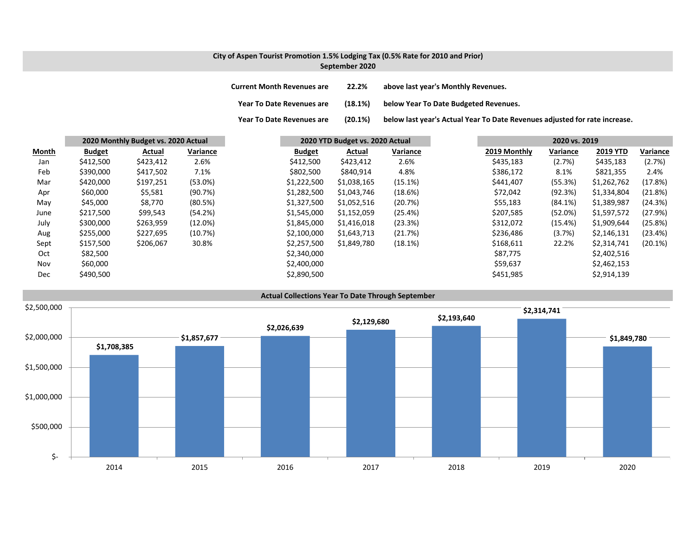### **City of Aspen Tourist Promotion 1.5% Lodging Tax (0.5% Rate for 2010 and Prior) September 2020**

**Current MonthRevenues are 22.2% above last year's Monthly Revenues.**

**Year ToDate Revenues are (18.1%) below Year To Date Budgeted Revenues.**

**Year To**

(20.1%) below last year's Actual Year To Date Revenues adjusted for rate increase.

|              |               | 2020 Monthly Budget vs. 2020 Actual |            |               | 2020 YTD Budget vs. 2020 Actual |          |              | 2020 vs. 2019 |                 |          |
|--------------|---------------|-------------------------------------|------------|---------------|---------------------------------|----------|--------------|---------------|-----------------|----------|
| <b>Month</b> | <b>Budget</b> | Actual                              | Variance   | <b>Budget</b> | Actual                          | Variance | 2019 Monthly | Variance      | <b>2019 YTD</b> | Variance |
| Jan          | \$412,500     | \$423,412                           | 2.6%       | \$412,500     | \$423,412                       | 2.6%     | \$435,183    | (2.7%)        | \$435,183       | (2.7%)   |
| Feb          | \$390,000     | \$417,502                           | 7.1%       | \$802,500     | \$840,914                       | 4.8%     | \$386,172    | 8.1%          | \$821,355       | 2.4%     |
| Mar          | \$420,000     | \$197,251                           | $(53.0\%)$ | \$1,222,500   | \$1,038,165                     | (15.1%)  | \$441,407    | (55.3%)       | \$1,262,762     | (17.8%)  |
| Apr          | \$60,000      | \$5,581                             | (90.7%)    | \$1,282,500   | \$1,043,746                     | (18.6%)  | \$72,042     | (92.3%)       | \$1,334,804     | (21.8%)  |
| May          | \$45,000      | \$8,770                             | (80.5%)    | \$1,327,500   | \$1,052,516                     | (20.7%)  | \$55,183     | (84.1%)       | \$1,389,987     | (24.3%)  |
| June         | \$217,500     | \$99,543                            | (54.2%)    | \$1,545,000   | \$1,152,059                     | (25.4%)  | \$207,585    | (52.0%)       | \$1,597,572     | (27.9%)  |
| July         | \$300,000     | \$263,959                           | $(12.0\%)$ | \$1,845,000   | \$1,416,018                     | (23.3%)  | \$312,072    | (15.4%)       | \$1,909,644     | (25.8%)  |
| Aug          | \$255,000     | \$227,695                           | (10.7%)    | \$2,100,000   | \$1,643,713                     | (21.7%)  | \$236,486    | (3.7%)        | \$2,146,131     | (23.4%)  |
| Sept         | \$157,500     | \$206,067                           | 30.8%      | \$2,257,500   | \$1,849,780                     | (18.1%)  | \$168,611    | 22.2%         | \$2,314,741     | (20.1%)  |
| Oct          | \$82,500      |                                     |            | \$2,340,000   |                                 |          | \$87,775     |               | \$2,402,516     |          |
| Nov          | \$60,000      |                                     |            | \$2,400,000   |                                 |          | \$59,637     |               | \$2,462,153     |          |
| Dec          | \$490,500     |                                     |            | \$2,890,500   |                                 |          | \$451,985    |               | \$2,914,139     |          |

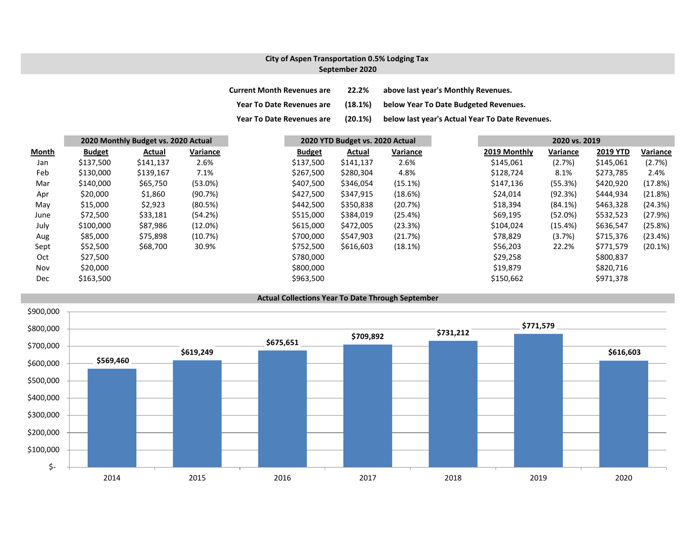## **City of Aspen Transportation 0.5% Lodging Tax September 2020**

**Current Month Revenues are 22.2% above last year's Monthly Revenues. Year To Date Revenues are (18.1%) below Year To Date Budgeted Revenues. Year ToDate Revenues are (20.1%) below last year's Actual Year To Date Revenues.**

|              |               | 2020 Monthly Budget vs. 2020 Actual |          |               | 2020 YTD Budget vs. 2020 Actual |            |              | 2020 vs. 2019 |                 |          |
|--------------|---------------|-------------------------------------|----------|---------------|---------------------------------|------------|--------------|---------------|-----------------|----------|
| <b>Month</b> | <b>Budget</b> | Actual                              | Variance | <b>Budget</b> | Actual                          | Variance   | 2019 Monthly | Variance      | <b>2019 YTD</b> | Variance |
| Jan          | \$137,500     | \$141,137                           | 2.6%     | \$137,500     | \$141,137                       | 2.6%       | \$145,061    | (2.7%)        | \$145,061       | (2.7%)   |
| Feb          | \$130,000     | \$139,167                           | 7.1%     | \$267,500     | \$280,304                       | 4.8%       | \$128,724    | 8.1%          | \$273,785       | 2.4%     |
| Mar          | \$140,000     | \$65,750                            | (53.0%)  | \$407,500     | \$346,054                       | (15.1%)    | \$147,136    | (55.3%)       | \$420,920       | (17.8%)  |
| Apr          | \$20,000      | \$1,860                             | (90.7%)  | \$427,500     | \$347,915                       | (18.6%)    | \$24,014     | (92.3%)       | \$444,934       | (21.8%)  |
| May          | \$15,000      | \$2,923                             | (80.5%)  | \$442,500     | \$350,838                       | (20.7%)    | \$18,394     | (84.1%)       | \$463,328       | (24.3%)  |
| June         | \$72,500      | \$33,181                            | (54.2%)  | \$515,000     | \$384,019                       | (25.4%)    | \$69,195     | (52.0%)       | \$532,523       | (27.9%)  |
| July         | \$100,000     | \$87,986                            | (12.0%)  | \$615,000     | \$472,005                       | (23.3%)    | \$104,024    | (15.4%)       | \$636,547       | (25.8%)  |
| Aug          | \$85,000      | \$75,898                            | (10.7%)  | \$700,000     | \$547,903                       | (21.7%)    | \$78,829     | (3.7%)        | \$715,376       | (23.4%)  |
| Sept         | \$52,500      | \$68,700                            | 30.9%    | \$752,500     | \$616,603                       | $(18.1\%)$ | \$56,203     | 22.2%         | \$771,579       | (20.1%)  |
| Oct          | \$27,500      |                                     |          | \$780,000     |                                 |            | \$29,258     |               | \$800,837       |          |
| Nov          | \$20,000      |                                     |          | \$800,000     |                                 |            | \$19.879     |               | \$820,716       |          |
| Dec          | \$163,500     |                                     |          | \$963,500     |                                 |            | \$150,662    |               | \$971,378       |          |

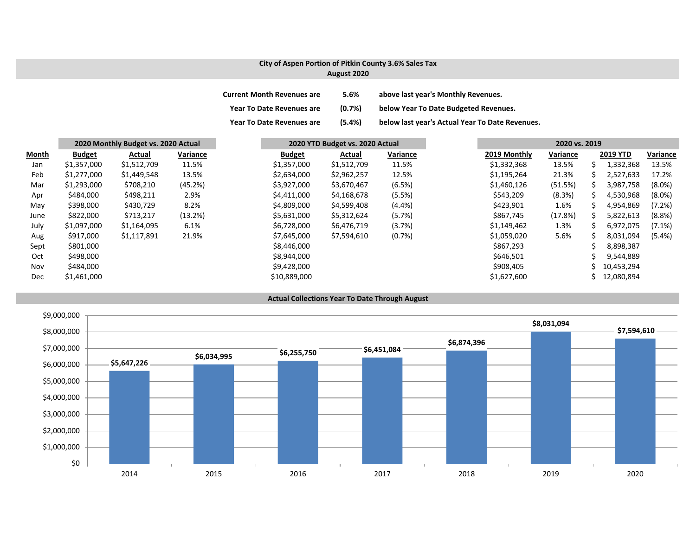# **City of Aspen Portion of Pitkin County 3.6% Sales Tax**

### **August 2020**

| <b>Current Month Revenues are</b> | 5.6%    | above last year's Monthly Revenues.             |
|-----------------------------------|---------|-------------------------------------------------|
| <b>Year To Date Revenues are</b>  | (0.7%)  | below Year To Date Budgeted Revenues.           |
| <b>Year To Date Revenues are</b>  | (5.4% ) | below last year's Actual Year To Date Revenues. |

|              |               | 2020 Monthly Budget vs. 2020 Actual |          |               | 2020 YTD Budget vs. 2020 Actual |           |              | 2020 vs. 2019 |    |                 |           |
|--------------|---------------|-------------------------------------|----------|---------------|---------------------------------|-----------|--------------|---------------|----|-----------------|-----------|
| <b>Month</b> | <b>Budget</b> | Actual                              | Variance | <b>Budget</b> | Actual                          | Variance  | 2019 Monthly | Variance      |    | <b>2019 YTD</b> | Variance  |
| Jan          | \$1,357,000   | \$1,512,709                         | 11.5%    | \$1,357,000   | \$1,512,709                     | 11.5%     | \$1,332,368  | 13.5%         |    | 1,332,368       | 13.5%     |
| Feb          | \$1,277,000   | \$1,449,548                         | 13.5%    | \$2,634,000   | \$2,962,257                     | 12.5%     | \$1,195,264  | 21.3%         |    | 2,527,633       | 17.2%     |
| Mar          | \$1,293,000   | \$708,210                           | (45.2%)  | \$3,927,000   | \$3,670,467                     | (6.5%)    | \$1,460,126  | (51.5%)       | S  | 3,987,758       | $(8.0\%)$ |
| Apr          | \$484,000     | \$498,211                           | 2.9%     | \$4,411,000   | \$4,168,678                     | (5.5%)    | \$543,209    | (8.3%)        | S  | 4,530,968       | $(8.0\%)$ |
| May          | \$398,000     | \$430,729                           | 8.2%     | \$4,809,000   | \$4,599,408                     | $(4.4\%)$ | \$423,901    | 1.6%          | S  | 4,954,869       | (7.2%)    |
| June         | \$822,000     | \$713,217                           | (13.2%)  | \$5,631,000   | \$5,312,624                     | (5.7%)    | \$867,745    | (17.8%)       |    | 5,822,613       | (8.8%)    |
| July         | \$1,097,000   | \$1,164,095                         | 6.1%     | \$6,728,000   | \$6,476,719                     | (3.7%)    | \$1,149,462  | 1.3%          |    | 6,972,075       | $(7.1\%)$ |
| Aug          | \$917,000     | \$1,117,891                         | 21.9%    | \$7,645,000   | \$7,594,610                     | (0.7%)    | \$1,059,020  | 5.6%          | S. | 8,031,094       | $(5.4\%)$ |
| Sept         | \$801,000     |                                     |          | \$8,446,000   |                                 |           | \$867,293    |               |    | 8,898,387       |           |
| Oct          | \$498,000     |                                     |          | \$8,944,000   |                                 |           | \$646,501    |               |    | 9,544,889       |           |
| Nov          | \$484,000     |                                     |          | \$9,428,000   |                                 |           | \$908,405    |               |    | 10,453,294      |           |
| Dec          | \$1,461,000   |                                     |          | \$10,889,000  |                                 |           | \$1,627,600  |               |    | 12,080,894      |           |



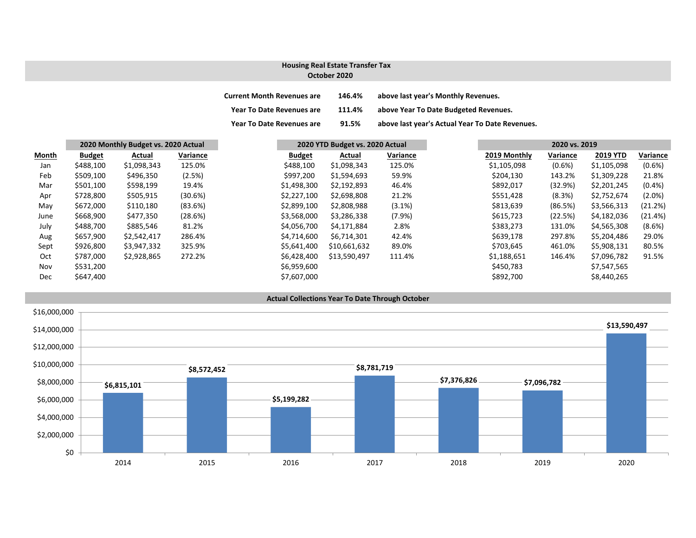## **October 2020 Housing Real Estate Transfer Tax**

| <b>Current Month Revenues are</b> | 146.4% | above last year's Monthly Revenues.             |
|-----------------------------------|--------|-------------------------------------------------|
| <b>Year To Date Revenues are</b>  | 111.4% | above Year To Date Budgeted Revenues.           |
| <b>Year To Date Revenues are</b>  | 91.5%  | above last year's Actual Year To Date Revenues. |

|       |               | 2020 Monthly Budget vs. 2020 Actual |          |               | 2020 YTD Budget vs. 2020 Actual |          |              |           | 2020 vs. 2019 |
|-------|---------------|-------------------------------------|----------|---------------|---------------------------------|----------|--------------|-----------|---------------|
| Month | <b>Budget</b> | Actual                              | Variance | <b>Budget</b> | Actual                          | Variance | 2019 Monthly | Variance  |               |
| Jan   | \$488,100     | \$1,098,343                         | 125.0%   | \$488,100     | \$1,098,343                     | 125.0%   | \$1,105,098  | $(0.6\%)$ |               |
| Feb   | \$509,100     | \$496,350                           | (2.5%)   | \$997,200     | \$1,594,693                     | 59.9%    | \$204,130    | 143.2%    |               |
| Mar   | \$501,100     | \$598,199                           | 19.4%    | \$1,498,300   | \$2,192,893                     | 46.4%    | \$892,017    | (32.9%)   |               |
| Apr   | \$728,800     | \$505,915                           | (30.6%)  | \$2,227,100   | \$2,698,808                     | 21.2%    | \$551,428    | (8.3%)    |               |
| May   | \$672,000     | \$110,180                           | (83.6%)  | \$2,899,100   | \$2,808,988                     | (3.1%)   | \$813,639    | (86.5%)   |               |
| June  | \$668,900     | \$477,350                           | (28.6%)  | \$3,568,000   | \$3,286,338                     | (7.9%)   | \$615,723    | (22.5%)   |               |
| July  | \$488,700     | \$885,546                           | 81.2%    | \$4,056,700   | \$4,171,884                     | 2.8%     | \$383,273    | 131.0%    |               |
| Aug   | \$657,900     | \$2,542,417                         | 286.4%   | \$4,714,600   | \$6,714,301                     | 42.4%    | \$639,178    | 297.8%    |               |
| Sept  | \$926,800     | \$3,947,332                         | 325.9%   | \$5,641,400   | \$10,661,632                    | 89.0%    | \$703,645    | 461.0%    |               |
| Oct   | \$787,000     | \$2,928,865                         | 272.2%   | \$6,428,400   | \$13,590,497                    | 111.4%   | \$1,188,651  | 146.4%    |               |
| Nov   | \$531,200     |                                     |          | \$6,959,600   |                                 |          | \$450,783    |           |               |
| Dec   | \$647,400     |                                     |          | \$7,607,000   |                                 |          | \$892,700    |           |               |